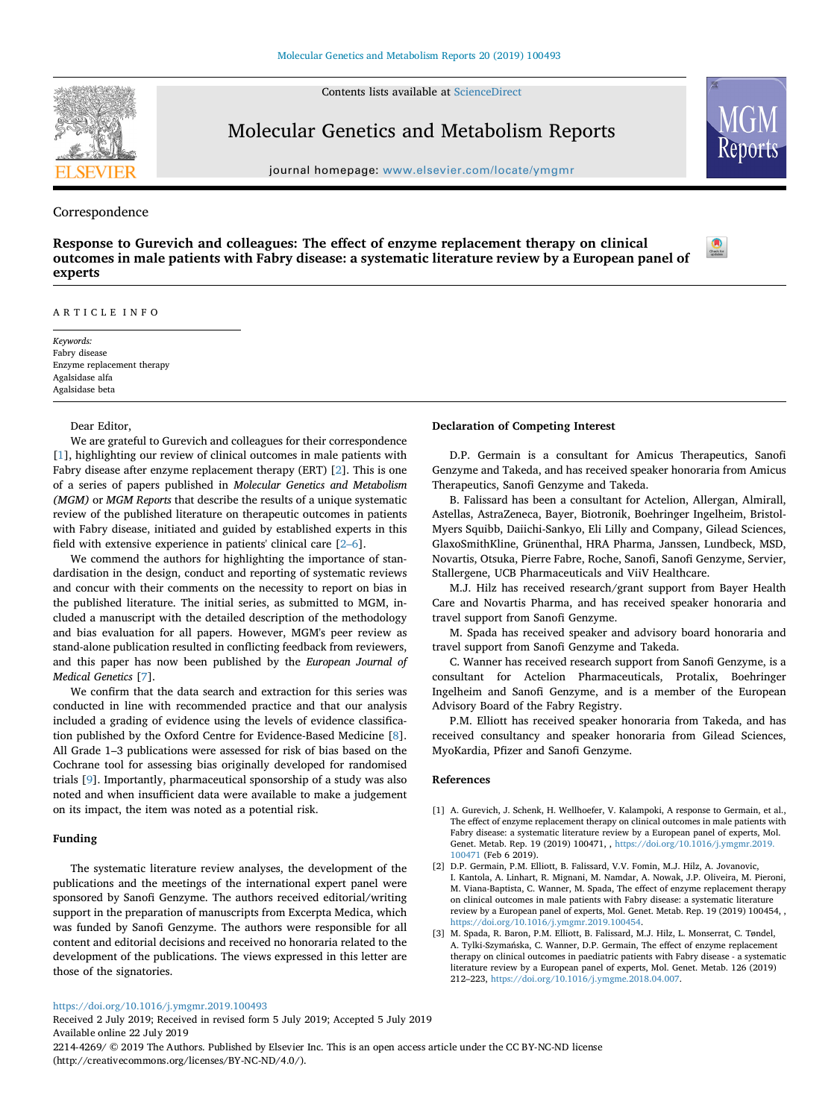Contents lists available at [ScienceDirect](http://www.sciencedirect.com/science/journal/22144269)



# Molecular Genetics and Metabolism Reports

journal homepage: [www.elsevier.com/locate/ymgmr](https://www.elsevier.com/locate/ymgmr)

## Correspondence

**Response to Gurevich and colleagues: The effect of enzyme replacement therapy on clinical outcomes in male patients with Fabry disease: a systematic literature review by a European panel of experts**



*Keywords:* Fabry disease Enzyme replacement therapy Agalsidase alfa Agalsidase beta

#### Dear Editor,

We are grateful to Gurevich and colleagues for their correspondence [[1](#page-0-0)], highlighting our review of clinical outcomes in male patients with Fabry disease after enzyme replacement therapy (ERT) [[2](#page-0-1)]. This is one of a series of papers published in *Molecular Genetics and Metabolism (MGM)* or *MGM Reports* that describe the results of a unique systematic review of the published literature on therapeutic outcomes in patients with Fabry disease, initiated and guided by established experts in this field with extensive experience in patients' clinical care [\[2–6](#page-0-1)].

We commend the authors for highlighting the importance of standardisation in the design, conduct and reporting of systematic reviews and concur with their comments on the necessity to report on bias in the published literature. The initial series, as submitted to MGM, included a manuscript with the detailed description of the methodology and bias evaluation for all papers. However, MGM's peer review as stand-alone publication resulted in conflicting feedback from reviewers, and this paper has now been published by the *European Journal of Medical Genetics* [\[7\]](#page-1-0).

We confirm that the data search and extraction for this series was conducted in line with recommended practice and that our analysis included a grading of evidence using the levels of evidence classification published by the Oxford Centre for Evidence-Based Medicine [[8](#page-1-1)]. All Grade 1–3 publications were assessed for risk of bias based on the Cochrane tool for assessing bias originally developed for randomised trials [\[9\]](#page-1-2). Importantly, pharmaceutical sponsorship of a study was also noted and when insufficient data were available to make a judgement on its impact, the item was noted as a potential risk.

## **Funding**

The systematic literature review analyses, the development of the publications and the meetings of the international expert panel were sponsored by Sanofi Genzyme. The authors received editorial/writing support in the preparation of manuscripts from Excerpta Medica, which was funded by Sanofi Genzyme. The authors were responsible for all content and editorial decisions and received no honoraria related to the development of the publications. The views expressed in this letter are those of the signatories.

### **Declaration of Competing Interest**

D.P. Germain is a consultant for Amicus Therapeutics, Sanofi Genzyme and Takeda, and has received speaker honoraria from Amicus Therapeutics, Sanofi Genzyme and Takeda.

[T](http://crossmark.crossref.org/dialog/?doi=10.1016/j.ymgmr.2019.100493&domain=pdf)

B. Falissard has been a consultant for Actelion, Allergan, Almirall, Astellas, AstraZeneca, Bayer, Biotronik, Boehringer Ingelheim, Bristol-Myers Squibb, Daiichi-Sankyo, Eli Lilly and Company, Gilead Sciences, GlaxoSmithKline, Grünenthal, HRA Pharma, Janssen, Lundbeck, MSD, Novartis, Otsuka, Pierre Fabre, Roche, Sanofi, Sanofi Genzyme, Servier, Stallergene, UCB Pharmaceuticals and ViiV Healthcare.

M.J. Hilz has received research/grant support from Bayer Health Care and Novartis Pharma, and has received speaker honoraria and travel support from Sanofi Genzyme.

M. Spada has received speaker and advisory board honoraria and travel support from Sanofi Genzyme and Takeda.

C. Wanner has received research support from Sanofi Genzyme, is a consultant for Actelion Pharmaceuticals, Protalix, Boehringer Ingelheim and Sanofi Genzyme, and is a member of the European Advisory Board of the Fabry Registry.

P.M. Elliott has received speaker honoraria from Takeda, and has received consultancy and speaker honoraria from Gilead Sciences, MyoKardia, Pfizer and Sanofi Genzyme.

#### **References**

- <span id="page-0-0"></span>[1] A. Gurevich, J. Schenk, H. Wellhoefer, V. Kalampoki, A response to Germain, et al., The effect of enzyme replacement therapy on clinical outcomes in male patients with Fabry disease: a systematic literature review by a European panel of experts, Mol. Genet. Metab. Rep. 19 (2019) 100471, , [https://doi.org/10.1016/j.ymgmr.2019.](https://doi.org/10.1016/j.ymgmr.2019.100471) 100471 [\(Feb 6 2019\).](https://doi.org/10.1016/j.ymgmr.2019.100471)
- <span id="page-0-1"></span>[2] D.P. Germain, P.M. Elliott, B. Falissard, V.V. Fomin, M.J. Hilz, A. Jovanovic, I. Kantola, A. Linhart, R. Mignani, M. Namdar, A. Nowak, J.P. Oliveira, M. Pieroni, M. Viana-Baptista, C. Wanner, M. Spada, The effect of enzyme replacement therapy on clinical outcomes in male patients with Fabry disease: a systematic literature review by a European panel of experts, Mol. Genet. Metab. Rep. 19 (2019) 100454, , [https://doi.org/10.1016/j.ymgmr.2019.100454.](https://doi.org/10.1016/j.ymgmr.2019.100454)
- [3] M. Spada, R. Baron, P.M. Elliott, B. Falissard, M.J. Hilz, L. Monserrat, C. Tøndel, A. Tylki-Szymańska, C. Wanner, D.P. Germain, The effect of enzyme replacement therapy on clinical outcomes in paediatric patients with Fabry disease - a systematic literature review by a European panel of experts, Mol. Genet. Metab. 126 (2019) 212–223, [https://doi.org/10.1016/j.ymgme.2018.04.007.](https://doi.org/10.1016/j.ymgme.2018.04.007)

<https://doi.org/10.1016/j.ymgmr.2019.100493>

Received 2 July 2019; Received in revised form 5 July 2019; Accepted 5 July 2019 Available online 22 July 2019

2214-4269/ © 2019 The Authors. Published by Elsevier Inc. This is an open access article under the CC BY-NC-ND license (http://creativecommons.org/licenses/BY-NC-ND/4.0/).